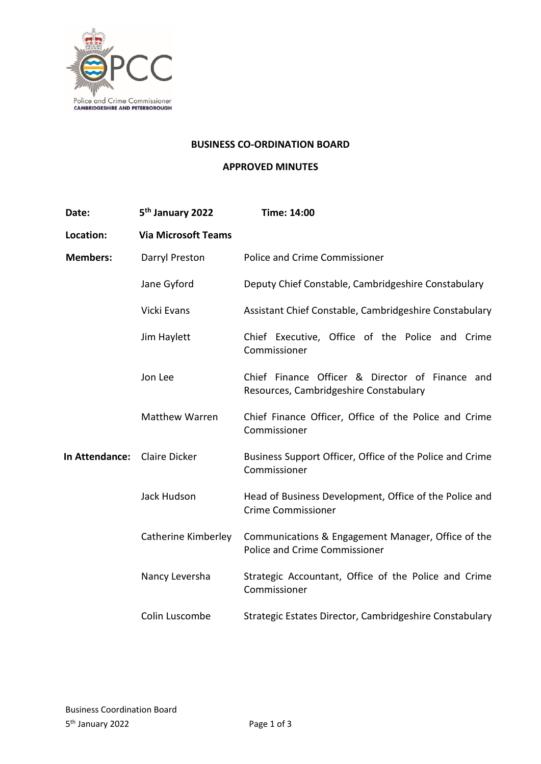

#### **BUSINESS CO-ORDINATION BOARD**

## **APPROVED MINUTES**

| Date:                        | 5 <sup>th</sup> January 2022 | Time: 14:00                                                                               |
|------------------------------|------------------------------|-------------------------------------------------------------------------------------------|
| Location:                    | <b>Via Microsoft Teams</b>   |                                                                                           |
| <b>Members:</b>              | Darryl Preston               | <b>Police and Crime Commissioner</b>                                                      |
|                              | Jane Gyford                  | Deputy Chief Constable, Cambridgeshire Constabulary                                       |
|                              | Vicki Evans                  | Assistant Chief Constable, Cambridgeshire Constabulary                                    |
|                              | Jim Haylett                  | Chief Executive, Office of the Police and Crime<br>Commissioner                           |
|                              | Jon Lee                      | Chief Finance Officer & Director of Finance and<br>Resources, Cambridgeshire Constabulary |
|                              | Matthew Warren               | Chief Finance Officer, Office of the Police and Crime<br>Commissioner                     |
| In Attendance: Claire Dicker |                              | Business Support Officer, Office of the Police and Crime<br>Commissioner                  |
|                              | Jack Hudson                  | Head of Business Development, Office of the Police and<br><b>Crime Commissioner</b>       |
|                              | Catherine Kimberley          | Communications & Engagement Manager, Office of the<br>Police and Crime Commissioner       |
|                              | Nancy Leversha               | Strategic Accountant, Office of the Police and Crime<br>Commissioner                      |
|                              | Colin Luscombe               | Strategic Estates Director, Cambridgeshire Constabulary                                   |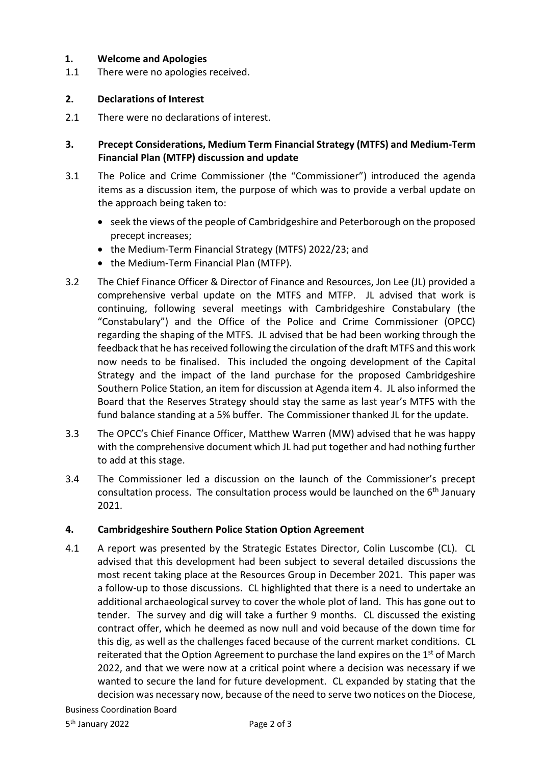## **1. Welcome and Apologies**

1.1 There were no apologies received.

## **2. Declarations of Interest**

- 2.1 There were no declarations of interest.
- **3. Precept Considerations, Medium Term Financial Strategy (MTFS) and Medium-Term Financial Plan (MTFP) discussion and update**
- 3.1 The Police and Crime Commissioner (the "Commissioner") introduced the agenda items as a discussion item, the purpose of which was to provide a verbal update on the approach being taken to:
	- seek the views of the people of Cambridgeshire and Peterborough on the proposed precept increases;
	- the Medium-Term Financial Strategy (MTFS) 2022/23; and
	- the Medium-Term Financial Plan (MTFP).
- 3.2 The Chief Finance Officer & Director of Finance and Resources, Jon Lee (JL) provided a comprehensive verbal update on the MTFS and MTFP. JL advised that work is continuing, following several meetings with Cambridgeshire Constabulary (the "Constabulary") and the Office of the Police and Crime Commissioner (OPCC) regarding the shaping of the MTFS. JL advised that be had been working through the feedback that he has received following the circulation of the draft MTFS and this work now needs to be finalised. This included the ongoing development of the Capital Strategy and the impact of the land purchase for the proposed Cambridgeshire Southern Police Station, an item for discussion at Agenda item 4. JL also informed the Board that the Reserves Strategy should stay the same as last year's MTFS with the fund balance standing at a 5% buffer. The Commissioner thanked JL for the update.
- 3.3 The OPCC's Chief Finance Officer, Matthew Warren (MW) advised that he was happy with the comprehensive document which JL had put together and had nothing further to add at this stage.
- 3.4 The Commissioner led a discussion on the launch of the Commissioner's precept consultation process. The consultation process would be launched on the  $6<sup>th</sup>$  January 2021.

# **4. Cambridgeshire Southern Police Station Option Agreement**

4.1 A report was presented by the Strategic Estates Director, Colin Luscombe (CL). CL advised that this development had been subject to several detailed discussions the most recent taking place at the Resources Group in December 2021. This paper was a follow-up to those discussions. CL highlighted that there is a need to undertake an additional archaeological survey to cover the whole plot of land. This has gone out to tender. The survey and dig will take a further 9 months. CL discussed the existing contract offer, which he deemed as now null and void because of the down time for this dig, as well as the challenges faced because of the current market conditions. CL reiterated that the Option Agreement to purchase the land expires on the 1<sup>st</sup> of March 2022, and that we were now at a critical point where a decision was necessary if we wanted to secure the land for future development. CL expanded by stating that the decision was necessary now, because of the need to serve two notices on the Diocese,